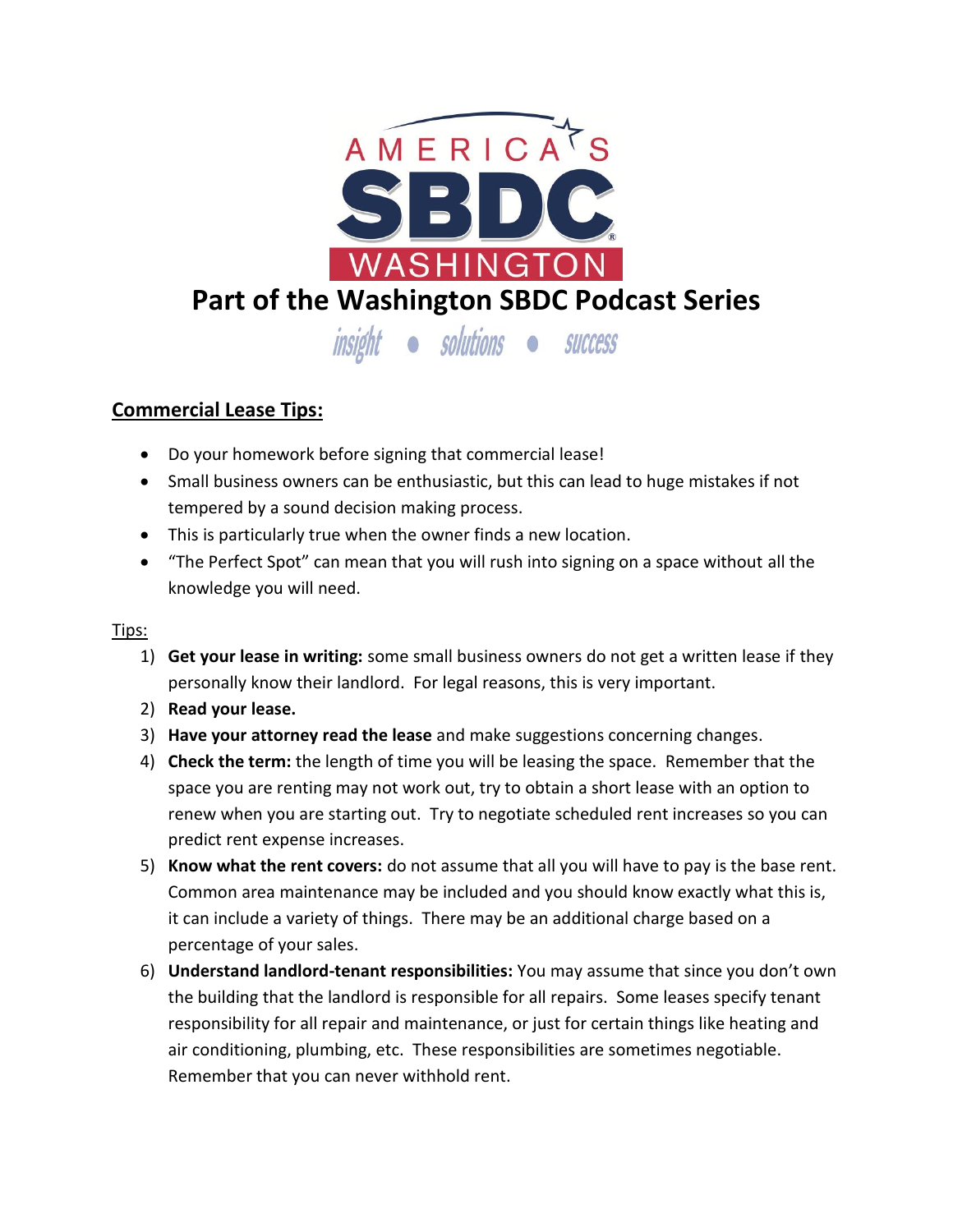

## **Commercial Lease Tips:**

- Do your homework before signing that commercial lease!
- Small business owners can be enthusiastic, but this can lead to huge mistakes if not tempered by a sound decision making process.
- This is particularly true when the owner finds a new location.
- "The Perfect Spot" can mean that you will rush into signing on a space without all the knowledge you will need.

## Tips:

- 1) **Get your lease in writing:** some small business owners do not get a written lease if they personally know their landlord. For legal reasons, this is very important.
- 2) **Read your lease.**
- 3) **Have your attorney read the lease** and make suggestions concerning changes.
- 4) **Check the term:** the length of time you will be leasing the space. Remember that the space you are renting may not work out, try to obtain a short lease with an option to renew when you are starting out. Try to negotiate scheduled rent increases so you can predict rent expense increases.
- 5) **Know what the rent covers:** do not assume that all you will have to pay is the base rent. Common area maintenance may be included and you should know exactly what this is, it can include a variety of things. There may be an additional charge based on a percentage of your sales.
- 6) **Understand landlord-tenant responsibilities:** You may assume that since you don't own the building that the landlord is responsible for all repairs. Some leases specify tenant responsibility for all repair and maintenance, or just for certain things like heating and air conditioning, plumbing, etc. These responsibilities are sometimes negotiable. Remember that you can never withhold rent.